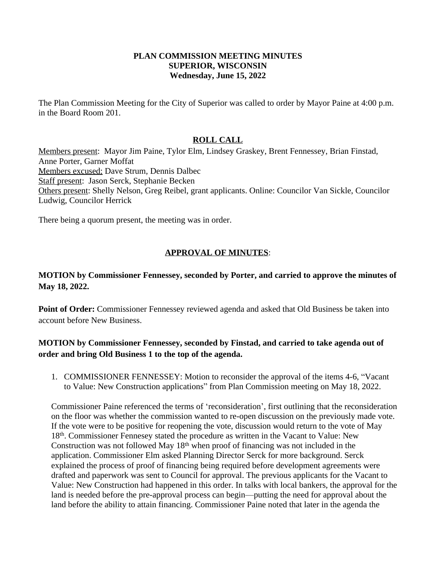### **PLAN COMMISSION MEETING MINUTES SUPERIOR, WISCONSIN Wednesday, June 15, 2022**

The Plan Commission Meeting for the City of Superior was called to order by Mayor Paine at 4:00 p.m. in the Board Room 201.

## **ROLL CALL**

Members present: Mayor Jim Paine, Tylor Elm, Lindsey Graskey, Brent Fennessey, Brian Finstad, Anne Porter, Garner Moffat Members excused: Dave Strum, Dennis Dalbec Staff present: Jason Serck, Stephanie Becken Others present: Shelly Nelson, Greg Reibel, grant applicants. Online: Councilor Van Sickle, Councilor Ludwig, Councilor Herrick

There being a quorum present, the meeting was in order.

## **APPROVAL OF MINUTES**:

## **MOTION by Commissioner Fennessey, seconded by Porter, and carried to approve the minutes of May 18, 2022.**

Point of Order: Commissioner Fennessey reviewed agenda and asked that Old Business be taken into account before New Business.

# **MOTION by Commissioner Fennessey, seconded by Finstad, and carried to take agenda out of order and bring Old Business 1 to the top of the agenda.**

1. COMMISSIONER FENNESSEY: Motion to reconsider the approval of the items 4-6, "Vacant to Value: New Construction applications" from Plan Commission meeting on May 18, 2022.

Commissioner Paine referenced the terms of 'reconsideration', first outlining that the reconsideration on the floor was whether the commission wanted to re-open discussion on the previously made vote. If the vote were to be positive for reopening the vote, discussion would return to the vote of May 18th. Commissioner Fennesey stated the procedure as written in the Vacant to Value: New Construction was not followed May 18th when proof of financing was not included in the application. Commissioner Elm asked Planning Director Serck for more background. Serck explained the process of proof of financing being required before development agreements were drafted and paperwork was sent to Council for approval. The previous applicants for the Vacant to Value: New Construction had happened in this order. In talks with local bankers, the approval for the land is needed before the pre-approval process can begin—putting the need for approval about the land before the ability to attain financing. Commissioner Paine noted that later in the agenda the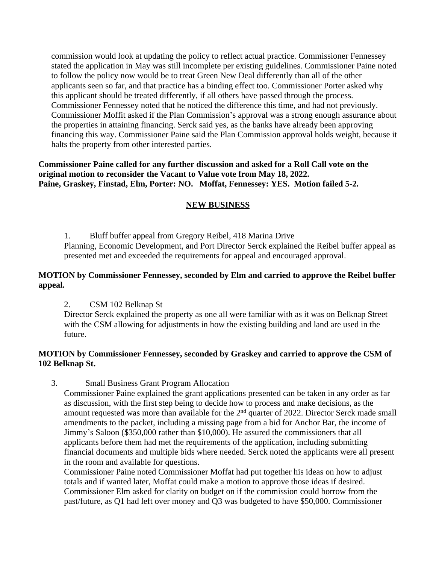commission would look at updating the policy to reflect actual practice. Commissioner Fennessey stated the application in May was still incomplete per existing guidelines. Commissioner Paine noted to follow the policy now would be to treat Green New Deal differently than all of the other applicants seen so far, and that practice has a binding effect too. Commissioner Porter asked why this applicant should be treated differently, if all others have passed through the process. Commissioner Fennessey noted that he noticed the difference this time, and had not previously. Commissioner Moffit asked if the Plan Commission's approval was a strong enough assurance about the properties in attaining financing. Serck said yes, as the banks have already been approving financing this way. Commissioner Paine said the Plan Commission approval holds weight, because it halts the property from other interested parties.

**Commissioner Paine called for any further discussion and asked for a Roll Call vote on the original motion to reconsider the Vacant to Value vote from May 18, 2022. Paine, Graskey, Finstad, Elm, Porter: NO. Moffat, Fennessey: YES. Motion failed 5-2.**

### **NEW BUSINESS**

1. Bluff buffer appeal from Gregory Reibel, 418 Marina Drive Planning, Economic Development, and Port Director Serck explained the Reibel buffer appeal as presented met and exceeded the requirements for appeal and encouraged approval.

## **MOTION by Commissioner Fennessey, seconded by Elm and carried to approve the Reibel buffer appeal.**

2. CSM 102 Belknap St

Director Serck explained the property as one all were familiar with as it was on Belknap Street with the CSM allowing for adjustments in how the existing building and land are used in the future.

## **MOTION by Commissioner Fennessey, seconded by Graskey and carried to approve the CSM of 102 Belknap St.**

3. Small Business Grant Program Allocation

Commissioner Paine explained the grant applications presented can be taken in any order as far as discussion, with the first step being to decide how to process and make decisions, as the amount requested was more than available for the  $2<sup>nd</sup>$  quarter of 2022. Director Serck made small amendments to the packet, including a missing page from a bid for Anchor Bar, the income of Jimmy's Saloon (\$350,000 rather than \$10,000). He assured the commissioners that all applicants before them had met the requirements of the application, including submitting financial documents and multiple bids where needed. Serck noted the applicants were all present in the room and available for questions.

Commissioner Paine noted Commissioner Moffat had put together his ideas on how to adjust totals and if wanted later, Moffat could make a motion to approve those ideas if desired. Commissioner Elm asked for clarity on budget on if the commission could borrow from the past/future, as Q1 had left over money and Q3 was budgeted to have \$50,000. Commissioner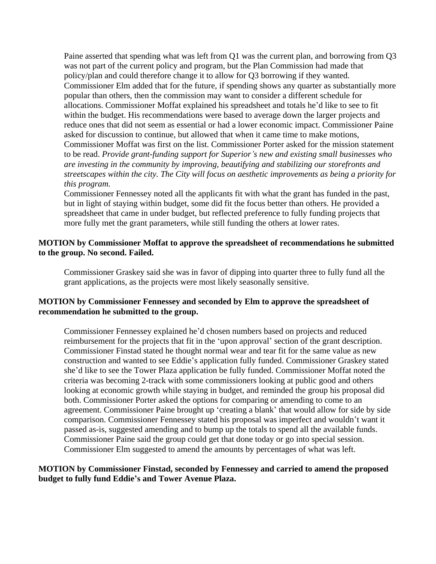Paine asserted that spending what was left from Q1 was the current plan, and borrowing from Q3 was not part of the current policy and program, but the Plan Commission had made that policy/plan and could therefore change it to allow for Q3 borrowing if they wanted. Commissioner Elm added that for the future, if spending shows any quarter as substantially more popular than others, then the commission may want to consider a different schedule for allocations. Commissioner Moffat explained his spreadsheet and totals he'd like to see to fit within the budget. His recommendations were based to average down the larger projects and reduce ones that did not seem as essential or had a lower economic impact. Commissioner Paine asked for discussion to continue, but allowed that when it came time to make motions, Commissioner Moffat was first on the list. Commissioner Porter asked for the mission statement to be read. *Provide grant-funding support for Superior's new and existing small businesses who are investing in the community by improving, beautifying and stabilizing our storefronts and streetscapes within the city. The City will focus on aesthetic improvements as being a priority for this program.*

Commissioner Fennessey noted all the applicants fit with what the grant has funded in the past, but in light of staying within budget, some did fit the focus better than others. He provided a spreadsheet that came in under budget, but reflected preference to fully funding projects that more fully met the grant parameters, while still funding the others at lower rates.

### **MOTION by Commissioner Moffat to approve the spreadsheet of recommendations he submitted to the group. No second. Failed.**

Commissioner Graskey said she was in favor of dipping into quarter three to fully fund all the grant applications, as the projects were most likely seasonally sensitive.

## **MOTION by Commissioner Fennessey and seconded by Elm to approve the spreadsheet of recommendation he submitted to the group.**

Commissioner Fennessey explained he'd chosen numbers based on projects and reduced reimbursement for the projects that fit in the 'upon approval' section of the grant description. Commissioner Finstad stated he thought normal wear and tear fit for the same value as new construction and wanted to see Eddie's application fully funded. Commissioner Graskey stated she'd like to see the Tower Plaza application be fully funded. Commissioner Moffat noted the criteria was becoming 2-track with some commissioners looking at public good and others looking at economic growth while staying in budget, and reminded the group his proposal did both. Commissioner Porter asked the options for comparing or amending to come to an agreement. Commissioner Paine brought up 'creating a blank' that would allow for side by side comparison. Commissioner Fennessey stated his proposal was imperfect and wouldn't want it passed as-is, suggested amending and to bump up the totals to spend all the available funds. Commissioner Paine said the group could get that done today or go into special session. Commissioner Elm suggested to amend the amounts by percentages of what was left.

### **MOTION by Commissioner Finstad, seconded by Fennessey and carried to amend the proposed budget to fully fund Eddie's and Tower Avenue Plaza.**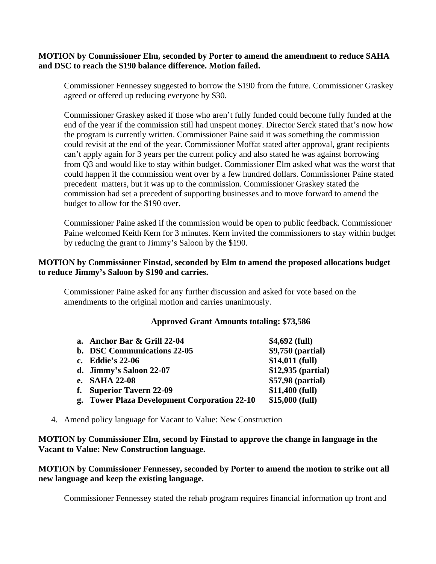#### **MOTION by Commissioner Elm, seconded by Porter to amend the amendment to reduce SAHA and DSC to reach the \$190 balance difference. Motion failed.**

Commissioner Fennessey suggested to borrow the \$190 from the future. Commissioner Graskey agreed or offered up reducing everyone by \$30.

Commissioner Graskey asked if those who aren't fully funded could become fully funded at the end of the year if the commission still had unspent money. Director Serck stated that's now how the program is currently written. Commissioner Paine said it was something the commission could revisit at the end of the year. Commissioner Moffat stated after approval, grant recipients can't apply again for 3 years per the current policy and also stated he was against borrowing from Q3 and would like to stay within budget. Commissioner Elm asked what was the worst that could happen if the commission went over by a few hundred dollars. Commissioner Paine stated precedent matters, but it was up to the commission. Commissioner Graskey stated the commission had set a precedent of supporting businesses and to move forward to amend the budget to allow for the \$190 over.

Commissioner Paine asked if the commission would be open to public feedback. Commissioner Paine welcomed Keith Kern for 3 minutes. Kern invited the commissioners to stay within budget by reducing the grant to Jimmy's Saloon by the \$190.

### **MOTION by Commissioner Finstad, seconded by Elm to amend the proposed allocations budget to reduce Jimmy's Saloon by \$190 and carries.**

Commissioner Paine asked for any further discussion and asked for vote based on the amendments to the original motion and carries unanimously.

#### **Approved Grant Amounts totaling: \$73,586**

| a. Anchor Bar & Grill 22-04                  | $$4,692$ (full)    |
|----------------------------------------------|--------------------|
| b. DSC Communications 22-05                  | \$9,750 (partial)  |
| c. Eddie's 22-06                             | $$14,011$ (full)   |
| d. Jimmy's Saloon 22-07                      | \$12,935 (partial) |
| e. SAHA 22-08                                | \$57,98 (partial)  |
| f. Superior Tavern 22-09                     | \$11,400 (full)    |
| g. Tower Plaza Development Corporation 22-10 | \$15,000 (full)    |

4. Amend policy language for Vacant to Value: New Construction

### **MOTION by Commissioner Elm, second by Finstad to approve the change in language in the Vacant to Value: New Construction language.**

#### **MOTION by Commissioner Fennessey, seconded by Porter to amend the motion to strike out all new language and keep the existing language.**

Commissioner Fennessey stated the rehab program requires financial information up front and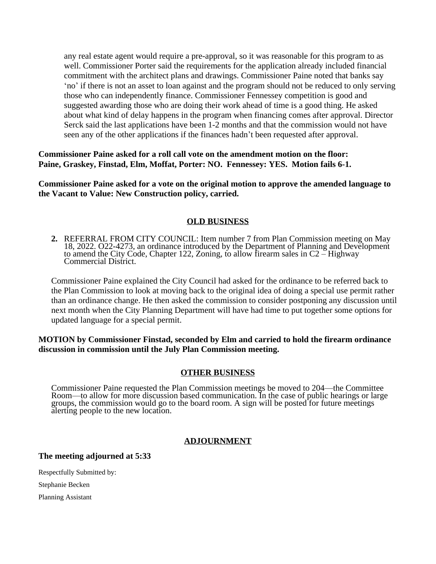any real estate agent would require a pre-approval, so it was reasonable for this program to as well. Commissioner Porter said the requirements for the application already included financial commitment with the architect plans and drawings. Commissioner Paine noted that banks say 'no' if there is not an asset to loan against and the program should not be reduced to only serving those who can independently finance. Commissioner Fennessey competition is good and suggested awarding those who are doing their work ahead of time is a good thing. He asked about what kind of delay happens in the program when financing comes after approval. Director Serck said the last applications have been 1-2 months and that the commission would not have seen any of the other applications if the finances hadn't been requested after approval.

**Commissioner Paine asked for a roll call vote on the amendment motion on the floor: Paine, Graskey, Finstad, Elm, Moffat, Porter: NO. Fennessey: YES. Motion fails 6-1.**

**Commissioner Paine asked for a vote on the original motion to approve the amended language to the Vacant to Value: New Construction policy, carried.**

### **OLD BUSINESS**

**2.** REFERRAL FROM CITY COUNCIL: Item number 7 from Plan Commission meeting on May 18, 2022. O22-4273, an ordinance introduced by the Department of Planning and Development to amend the City Code, Chapter 122, Zoning, to allow firearm sales in C2 – Highway Commercial District.

Commissioner Paine explained the City Council had asked for the ordinance to be referred back to the Plan Commission to look at moving back to the original idea of doing a special use permit rather than an ordinance change. He then asked the commission to consider postponing any discussion until next month when the City Planning Department will have had time to put together some options for updated language for a special permit.

#### **MOTION by Commissioner Finstad, seconded by Elm and carried to hold the firearm ordinance discussion in commission until the July Plan Commission meeting.**

#### **OTHER BUSINESS**

Commissioner Paine requested the Plan Commission meetings be moved to 204—the Committee Room—to allow for more discussion based communication. In the case of public hearings or large groups, the commission would go to the board room. A sign will be posted for future meetings alerting people to the new location.

#### **ADJOURNMENT**

#### **The meeting adjourned at 5:33**

Respectfully Submitted by:

Stephanie Becken

Planning Assistant